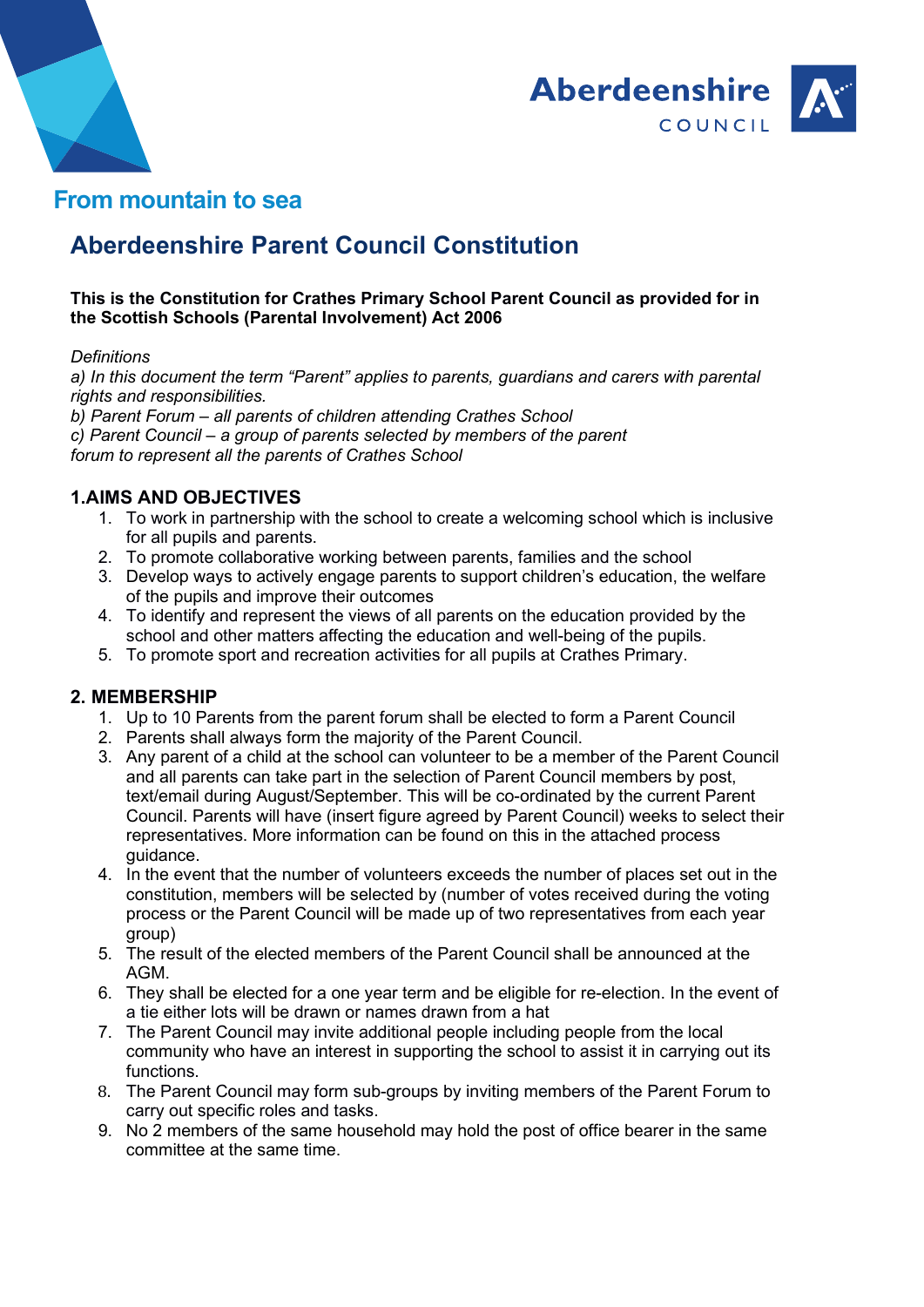



## From mountain to sea

# Aberdeenshire Parent Council Constitution

#### This is the Constitution for Crathes Primary School Parent Council as provided for in the Scottish Schools (Parental Involvement) Act 2006

#### **Definitions**

a) In this document the term "Parent" applies to parents, guardians and carers with parental rights and responsibilities.

b) Parent Forum – all parents of children attending Crathes School c) Parent Council – a group of parents selected by members of the parent forum to represent all the parents of Crathes School

#### 1.AIMS AND OBJECTIVES

- 1. To work in partnership with the school to create a welcoming school which is inclusive for all pupils and parents.
- 2. To promote collaborative working between parents, families and the school
- 3. Develop ways to actively engage parents to support children's education, the welfare of the pupils and improve their outcomes
- 4. To identify and represent the views of all parents on the education provided by the school and other matters affecting the education and well-being of the pupils.
- 5. To promote sport and recreation activities for all pupils at Crathes Primary.

#### 2. MEMBERSHIP

- 1. Up to 10 Parents from the parent forum shall be elected to form a Parent Council
- 2. Parents shall always form the majority of the Parent Council.
- 3. Any parent of a child at the school can volunteer to be a member of the Parent Council and all parents can take part in the selection of Parent Council members by post, text/email during August/September. This will be co-ordinated by the current Parent Council. Parents will have (insert figure agreed by Parent Council) weeks to select their representatives. More information can be found on this in the attached process guidance.
- 4. In the event that the number of volunteers exceeds the number of places set out in the constitution, members will be selected by (number of votes received during the voting process or the Parent Council will be made up of two representatives from each year group)
- 5. The result of the elected members of the Parent Council shall be announced at the AGM.
- 6. They shall be elected for a one year term and be eligible for re-election. In the event of a tie either lots will be drawn or names drawn from a hat
- 7. The Parent Council may invite additional people including people from the local community who have an interest in supporting the school to assist it in carrying out its functions.
- 8. The Parent Council may form sub-groups by inviting members of the Parent Forum to carry out specific roles and tasks.
- 9. No 2 members of the same household may hold the post of office bearer in the same committee at the same time.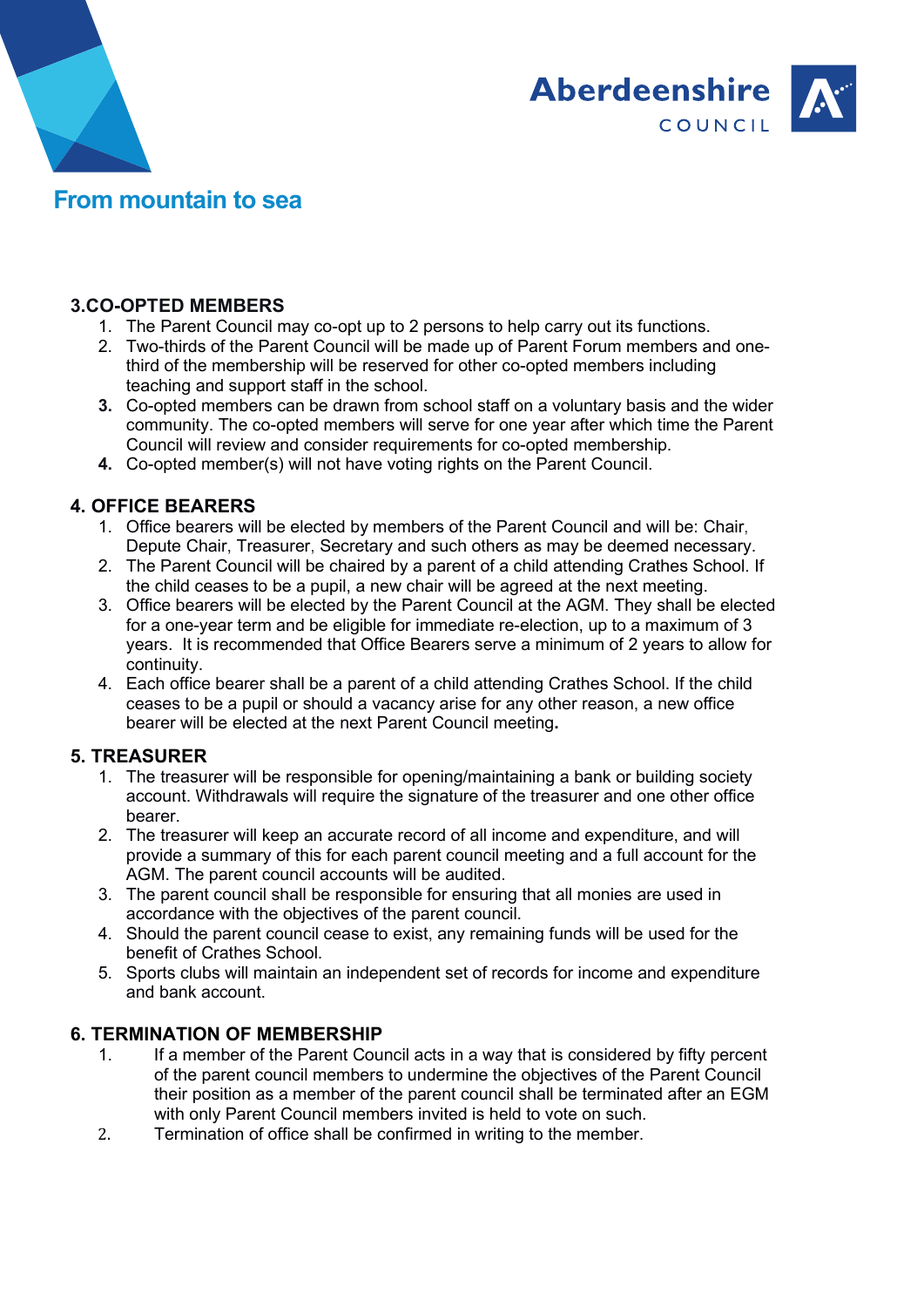



### 3.CO-OPTED MEMBERS

- 1. The Parent Council may co-opt up to 2 persons to help carry out its functions.
- 2. Two-thirds of the Parent Council will be made up of Parent Forum members and onethird of the membership will be reserved for other co-opted members including teaching and support staff in the school.
- 3. Co-opted members can be drawn from school staff on a voluntary basis and the wider community. The co-opted members will serve for one year after which time the Parent Council will review and consider requirements for co-opted membership.
- 4. Co-opted member(s) will not have voting rights on the Parent Council.

### 4. OFFICE BEARERS

- 1. Office bearers will be elected by members of the Parent Council and will be: Chair, Depute Chair, Treasurer, Secretary and such others as may be deemed necessary.
- 2. The Parent Council will be chaired by a parent of a child attending Crathes School. If the child ceases to be a pupil, a new chair will be agreed at the next meeting.
- 3. Office bearers will be elected by the Parent Council at the AGM. They shall be elected for a one-year term and be eligible for immediate re-election, up to a maximum of 3 years. It is recommended that Office Bearers serve a minimum of 2 years to allow for continuity.
- 4. Each office bearer shall be a parent of a child attending Crathes School. If the child ceases to be a pupil or should a vacancy arise for any other reason, a new office bearer will be elected at the next Parent Council meeting.

#### 5. TREASURER

- 1. The treasurer will be responsible for opening/maintaining a bank or building society account. Withdrawals will require the signature of the treasurer and one other office bearer.
- 2. The treasurer will keep an accurate record of all income and expenditure, and will provide a summary of this for each parent council meeting and a full account for the AGM. The parent council accounts will be audited.
- 3. The parent council shall be responsible for ensuring that all monies are used in accordance with the objectives of the parent council.
- 4. Should the parent council cease to exist, any remaining funds will be used for the benefit of Crathes School.
- 5. Sports clubs will maintain an independent set of records for income and expenditure and bank account.

#### 6. TERMINATION OF MEMBERSHIP

- 1. If a member of the Parent Council acts in a way that is considered by fifty percent of the parent council members to undermine the objectives of the Parent Council their position as a member of the parent council shall be terminated after an EGM with only Parent Council members invited is held to vote on such.
- 2. Termination of office shall be confirmed in writing to the member.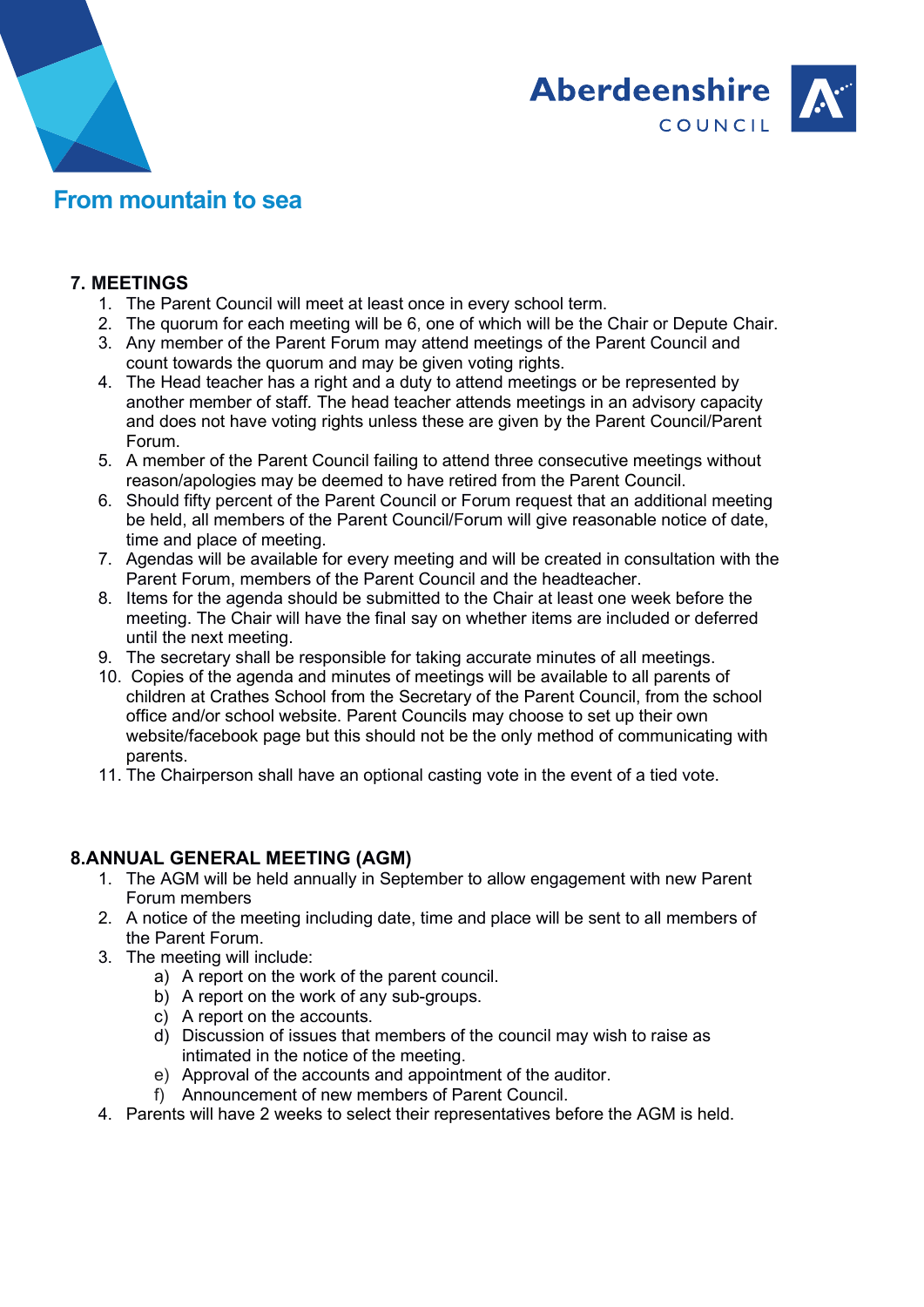



#### 7. MEETINGS

- 1. The Parent Council will meet at least once in every school term.
- 2. The quorum for each meeting will be 6, one of which will be the Chair or Depute Chair.
- 3. Any member of the Parent Forum may attend meetings of the Parent Council and count towards the quorum and may be given voting rights.
- 4. The Head teacher has a right and a duty to attend meetings or be represented by another member of staff. The head teacher attends meetings in an advisory capacity and does not have voting rights unless these are given by the Parent Council/Parent Forum.
- 5. A member of the Parent Council failing to attend three consecutive meetings without reason/apologies may be deemed to have retired from the Parent Council.
- 6. Should fifty percent of the Parent Council or Forum request that an additional meeting be held, all members of the Parent Council/Forum will give reasonable notice of date, time and place of meeting.
- 7. Agendas will be available for every meeting and will be created in consultation with the Parent Forum, members of the Parent Council and the headteacher.
- 8. Items for the agenda should be submitted to the Chair at least one week before the meeting. The Chair will have the final say on whether items are included or deferred until the next meeting.
- 9. The secretary shall be responsible for taking accurate minutes of all meetings.
- 10. Copies of the agenda and minutes of meetings will be available to all parents of children at Crathes School from the Secretary of the Parent Council, from the school office and/or school website. Parent Councils may choose to set up their own website/facebook page but this should not be the only method of communicating with parents.
- 11. The Chairperson shall have an optional casting vote in the event of a tied vote.

#### 8.ANNUAL GENERAL MEETING (AGM)

- 1. The AGM will be held annually in September to allow engagement with new Parent Forum members
- 2. A notice of the meeting including date, time and place will be sent to all members of the Parent Forum.
- 3. The meeting will include:
	- a) A report on the work of the parent council.
	- b) A report on the work of any sub-groups.
	- c) A report on the accounts.
	- d) Discussion of issues that members of the council may wish to raise as intimated in the notice of the meeting.
	- e) Approval of the accounts and appointment of the auditor.
	- f) Announcement of new members of Parent Council.
- 4. Parents will have 2 weeks to select their representatives before the AGM is held.